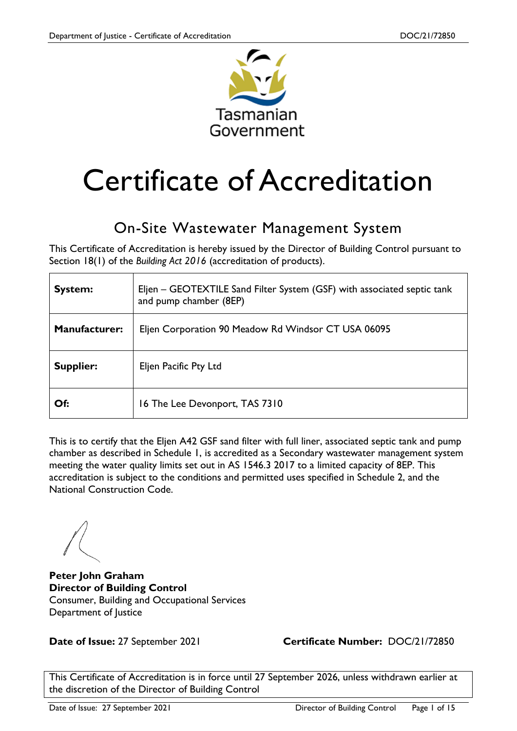

# Certificate of Accreditation

### On-Site Wastewater Management System

This Certificate of Accreditation is hereby issued by the Director of Building Control pursuant to Section 18(1) of the *Building Act 2016* (accreditation of products).

| <b>System:</b>       | Eljen - GEOTEXTILE Sand Filter System (GSF) with associated septic tank<br>and pump chamber (8EP) |
|----------------------|---------------------------------------------------------------------------------------------------|
| <b>Manufacturer:</b> | Eljen Corporation 90 Meadow Rd Windsor CT USA 06095                                               |
| Supplier:            | Eljen Pacific Pty Ltd                                                                             |
| Of:                  | 16 The Lee Devonport, TAS 7310                                                                    |

This is to certify that the Eljen A42 GSF sand filter with full liner, associated septic tank and pump chamber as described in Schedule 1, is accredited as a Secondary wastewater management system meeting the water quality limits set out in AS 1546.3 2017 to a limited capacity of 8EP. This accreditation is subject to the conditions and permitted uses specified in Schedule 2, and the National Construction Code.

**Peter John Graham Director of Building Control** Consumer, Building and Occupational Services Department of Justice

**Date of Issue:** 27 September 2021 **Certificate Number:** DOC/21/72850

This Certificate of Accreditation is in force until 27 September 2026, unless withdrawn earlier at the discretion of the Director of Building Control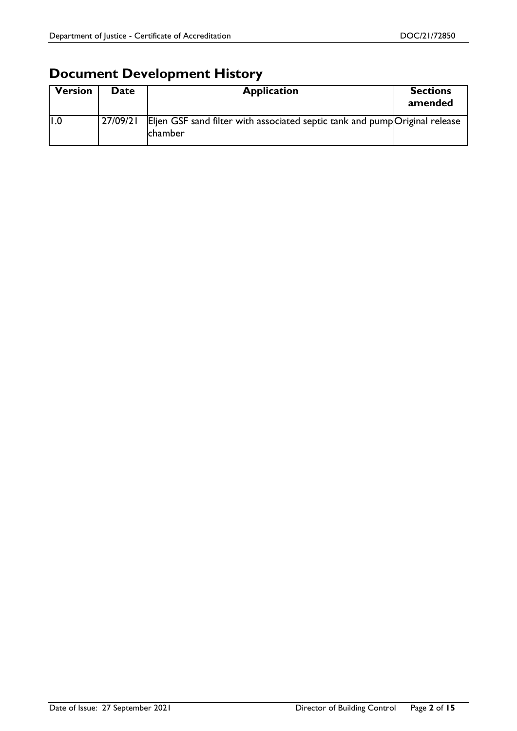### **Document Development History**

| <b>Version</b> | Date     | <b>Application</b>                                                                     | <b>Sections</b><br>amended |
|----------------|----------|----------------------------------------------------------------------------------------|----------------------------|
|                | 27/09/21 | Eljen GSF sand filter with associated septic tank and pump Original release<br>chamber |                            |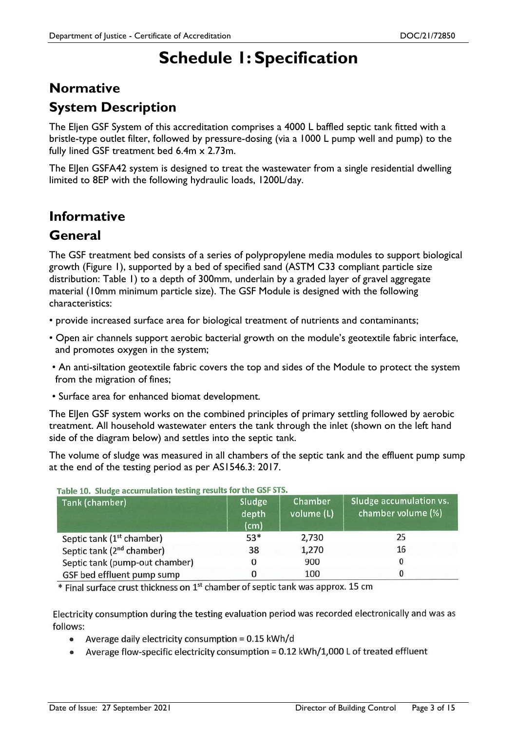### **Schedule 1: Specification**

### **Normative System Description**

The Eljen GSF System of this accreditation comprises a 4000 L baffled septic tank fitted with a bristle-type outlet filter, followed by pressure-dosing (via a 1000 L pump well and pump) to the fully lined GSF treatment bed 6.4m x 2.73m.

The ElJen GSFA42 system is designed to treat the wastewater from a single residential dwelling limited to 8EP with the following hydraulic loads, 1200L/day.

### **Informative**

#### **General**

The GSF treatment bed consists of a series of polypropylene media modules to support biological growth (Figure 1), supported by a bed of specified sand (ASTM C33 compliant particle size distribution: Table 1) to a depth of 300mm, underlain by a graded layer of gravel aggregate material (10mm minimum particle size). The GSF Module is designed with the following characteristics:

- provide increased surface area for biological treatment of nutrients and contaminants;
- Open air channels support aerobic bacterial growth on the module's geotextile fabric interface, and promotes oxygen in the system;
- An anti-siltation geotextile fabric covers the top and sides of the Module to protect the system from the migration of fines;
- Surface area for enhanced biomat development.

The ElJen GSF system works on the combined principles of primary settling followed by aerobic treatment. All household wastewater enters the tank through the inlet (shown on the left hand side of the diagram below) and settles into the septic tank.

The volume of sludge was measured in all chambers of the septic tank and the effluent pump sump at the end of the testing period as per AS1546.3: 2017.

| Tank (chamber)                        | Sludge<br>depth<br>(cm) | Chamber<br>volume (L) | Sludge accumulation vs.<br>chamber volume (%) |
|---------------------------------------|-------------------------|-----------------------|-----------------------------------------------|
| Septic tank (1 <sup>st</sup> chamber) | 53*                     | 2,730                 | 25                                            |
| Septic tank (2 <sup>nd</sup> chamber) | 38                      | 1,270                 | 16                                            |
| Septic tank (pump-out chamber)        | 0                       | 900                   |                                               |
| GSF bed effluent pump sump            |                         | 100                   |                                               |

Table 10. Sludge accumulation testing results for the GSF STS.

\* Final surface crust thickness on 1<sup>st</sup> chamber of septic tank was approx. 15 cm

Electricity consumption during the testing evaluation period was recorded electronically and was as follows:

- Average daily electricity consumption = 0.15 kWh/d
- Average flow-specific electricity consumption = 0.12 kWh/1,000 L of treated effluent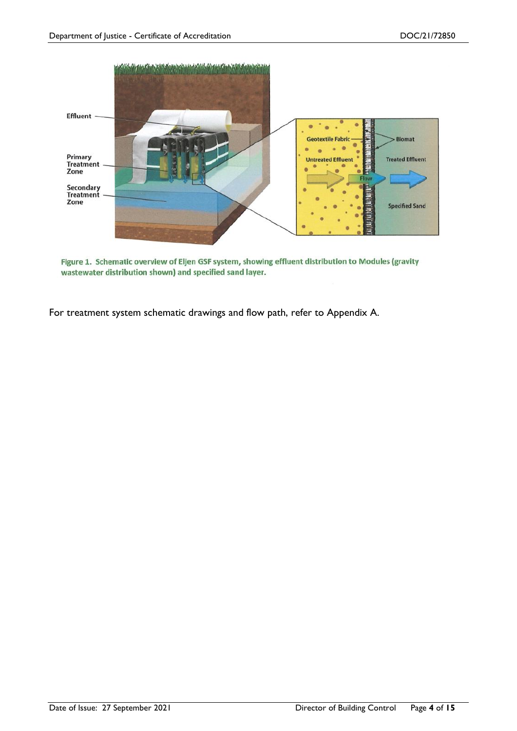

Figure 1. Schematic overview of Eljen GSF system, showing effluent distribution to Modules (gravity wastewater distribution shown) and specified sand layer.

For treatment system schematic drawings and flow path, refer to Appendix A.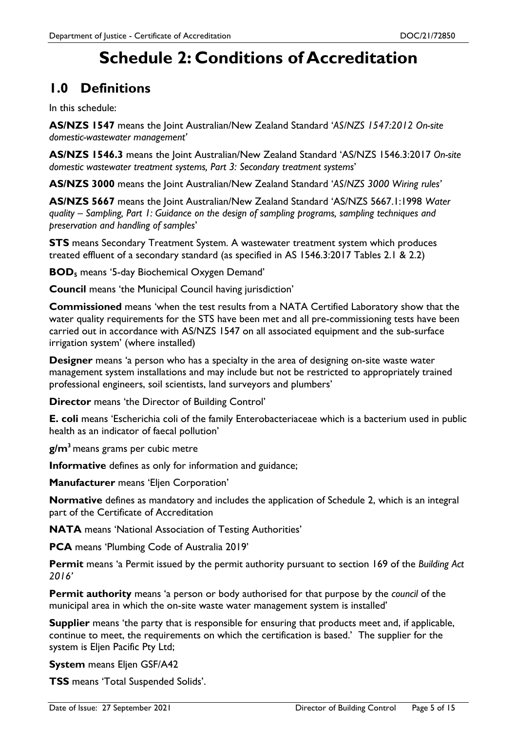### **Schedule 2: Conditions of Accreditation**

### **1.0 Definitions**

In this schedule:

**AS/NZS 1547** means the Joint Australian/New Zealand Standard '*AS/NZS 1547:2012 On-site domestic-wastewater management'*

**AS/NZS 1546.3** means the Joint Australian/New Zealand Standard 'AS/NZS 1546.3:2017 *On-site domestic wastewater treatment systems, Part 3: Secondary treatment systems*'

**AS/NZS 3000** means the Joint Australian/New Zealand Standard '*AS/NZS 3000 Wiring rules'*

**AS/NZS 5667** means the Joint Australian/New Zealand Standard 'AS/NZS 5667.1:1998 *Water quality – Sampling, Part 1: Guidance on the design of sampling programs, sampling techniques and preservation and handling of samples*'

**STS** means Secondary Treatment System. A wastewater treatment system which produces treated effluent of a secondary standard (as specified in AS 1546.3:2017 Tables 2.1 & 2.2)

**BOD<sup>5</sup>** means '5-day Biochemical Oxygen Demand'

**Council** means 'the Municipal Council having jurisdiction'

**Commissioned** means 'when the test results from a NATA Certified Laboratory show that the water quality requirements for the STS have been met and all pre-commissioning tests have been carried out in accordance with AS/NZS 1547 on all associated equipment and the sub-surface irrigation system' (where installed)

**Designer** means 'a person who has a specialty in the area of designing on-site waste water management system installations and may include but not be restricted to appropriately trained professional engineers, soil scientists, land surveyors and plumbers'

**Director** means 'the Director of Building Control'

**E. coli** means 'Escherichia coli of the family Enterobacteriaceae which is a bacterium used in public health as an indicator of faecal pollution'

**g/m<sup>3</sup>** means grams per cubic metre

**Informative** defines as only for information and guidance;

**Manufacturer** means 'Eljen Corporation'

**Normative** defines as mandatory and includes the application of Schedule 2, which is an integral part of the Certificate of Accreditation

**NATA** means 'National Association of Testing Authorities'

**PCA** means 'Plumbing Code of Australia 2019'

**Permit** means 'a Permit issued by the permit authority pursuant to section 169 of the *Building Act 2016'*

**Permit authority** means 'a person or body authorised for that purpose by the *council* of the municipal area in which the on-site waste water management system is installed'

**Supplier** means 'the party that is responsible for ensuring that products meet and, if applicable, continue to meet, the requirements on which the certification is based.' The supplier for the system is Eljen Pacific Pty Ltd;

**System** means Eljen GSF/A42

**TSS** means 'Total Suspended Solids'.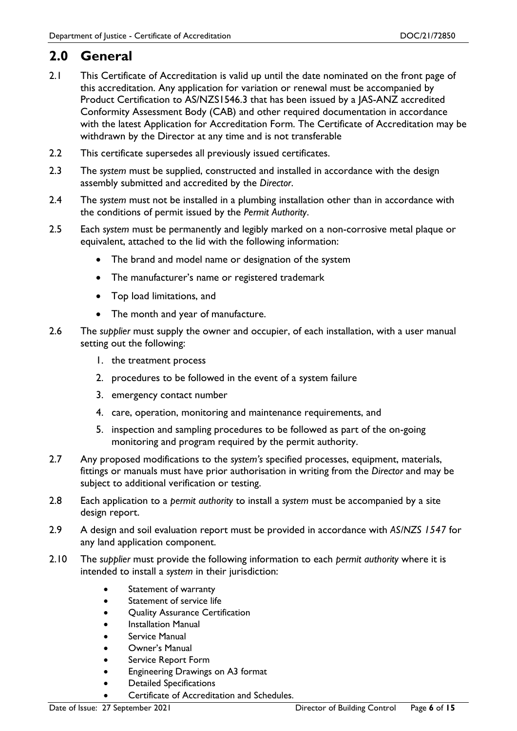### **2.0 General**

- 2.1 This Certificate of Accreditation is valid up until the date nominated on the front page of this accreditation. Any application for variation or renewal must be accompanied by Product Certification to AS/NZS1546.3 that has been issued by a JAS-ANZ accredited Conformity Assessment Body (CAB) and other required documentation in accordance with the latest Application for Accreditation Form. The Certificate of Accreditation may be withdrawn by the Director at any time and is not transferable
- 2.2 This certificate supersedes all previously issued certificates.
- 2.3 The *system* must be supplied, constructed and installed in accordance with the design assembly submitted and accredited by the *Director*.
- 2.4 The *system* must not be installed in a plumbing installation other than in accordance with the conditions of permit issued by the *Permit Authority*.
- 2.5 Each *system* must be permanently and legibly marked on a non-corrosive metal plaque or equivalent, attached to the lid with the following information:
	- The brand and model name or designation of the system
	- The manufacturer's name or registered trademark
	- Top load limitations, and
	- The month and year of manufacture.
- 2.6 The *supplier* must supply the owner and occupier, of each installation, with a user manual setting out the following:
	- 1. the treatment process
	- 2. procedures to be followed in the event of a system failure
	- 3. emergency contact number
	- 4. care, operation, monitoring and maintenance requirements, and
	- 5. inspection and sampling procedures to be followed as part of the on-going monitoring and program required by the permit authority.
- 2.7 Any proposed modifications to the *system's* specified processes, equipment, materials, fittings or manuals must have prior authorisation in writing from the *Director* and may be subject to additional verification or testing.
- 2.8 Each application to a *permit authority* to install a *system* must be accompanied by a site design report.
- 2.9 A design and soil evaluation report must be provided in accordance with *AS/NZS 1547* for any land application component.
- 2.10 The *supplier* must provide the following information to each *permit authority* where it is intended to install a *system* in their jurisdiction:
	- Statement of warranty
	- Statement of service life
	- Quality Assurance Certification
	- Installation Manual
	- Service Manual
	- Owner's Manual
	- **•** Service Report Form
	- Engineering Drawings on A3 format
	- Detailed Specifications
	- Certificate of Accreditation and Schedules.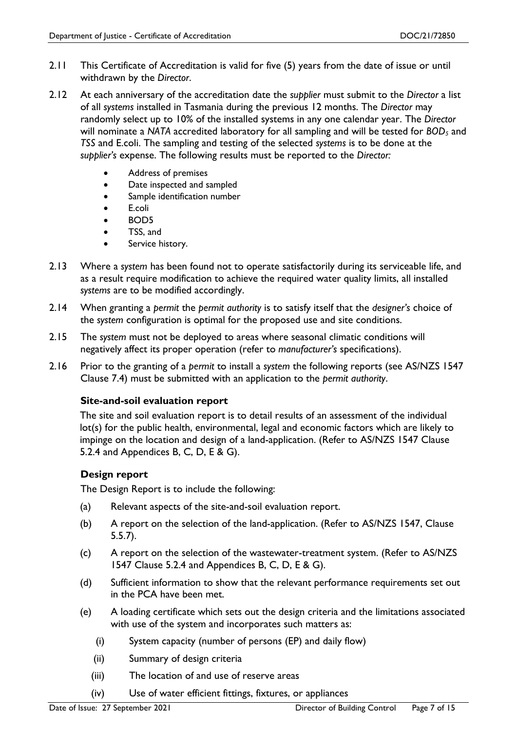- 2.11 This Certificate of Accreditation is valid for five (5) years from the date of issue or until withdrawn by the *Director*.
- 2.12 At each anniversary of the accreditation date the *supplier* must submit to the *Director* a list of all *systems* installed in Tasmania during the previous 12 months. The *Director* may randomly select up to 10% of the installed systems in any one calendar year. The *Director* will nominate a *NATA* accredited laboratory for all sampling and will be tested for *BOD<sup>5</sup>* and *TSS* and E.coli. The sampling and testing of the selected *systems* is to be done at the *supplier's* expense. The following results must be reported to the *Director:*
	- Address of premises
	- Date inspected and sampled
	- Sample identification number
	- E.coli
	- BOD5
	- TSS, and
	- Service history.
- 2.13 Where a *system* has been found not to operate satisfactorily during its serviceable life, and as a result require modification to achieve the required water quality limits, all installed *systems* are to be modified accordingly.
- 2.14 When granting a *permit* the *permit authority* is to satisfy itself that the *designer's* choice of the *system* configuration is optimal for the proposed use and site conditions.
- 2.15 The *system* must not be deployed to areas where seasonal climatic conditions will negatively affect its proper operation (refer to *manufacturer's* specifications).
- 2.16 Prior to the granting of a *permit* to install a *system* the following reports (see AS/NZS 1547 Clause 7.4) must be submitted with an application to the *permit authority*.

#### **Site-and-soil evaluation report**

The site and soil evaluation report is to detail results of an assessment of the individual lot(s) for the public health, environmental, legal and economic factors which are likely to impinge on the location and design of a land-application. (Refer to AS/NZS 1547 Clause 5.2.4 and Appendices B, C, D, E & G).

#### **Design report**

The Design Report is to include the following:

- (a) Relevant aspects of the site-and-soil evaluation report.
- (b) A report on the selection of the land-application. (Refer to AS/NZS 1547, Clause 5.5.7).
- (c) A report on the selection of the wastewater-treatment system. (Refer to AS/NZS 1547 Clause 5.2.4 and Appendices B, C, D, E & G).
- (d) Sufficient information to show that the relevant performance requirements set out in the PCA have been met.
- (e) A loading certificate which sets out the design criteria and the limitations associated with use of the system and incorporates such matters as:
	- (i) System capacity (number of persons (EP) and daily flow)
	- (ii) Summary of design criteria
	- (iii) The location of and use of reserve areas
	- (iv) Use of water efficient fittings, fixtures, or appliances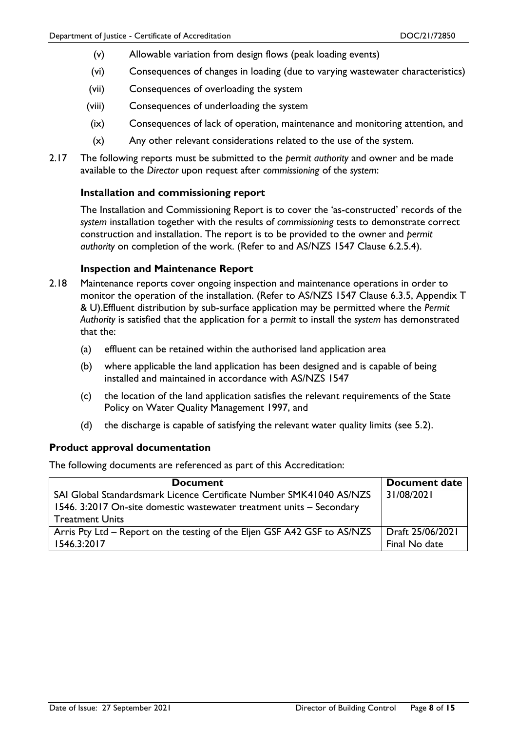- (v) Allowable variation from design flows (peak loading events)
- (vi) Consequences of changes in loading (due to varying wastewater characteristics)
- (vii) Consequences of overloading the system
- (viii) Consequences of underloading the system
- (ix) Consequences of lack of operation, maintenance and monitoring attention, and
- (x) Any other relevant considerations related to the use of the system.
- 2.17 The following reports must be submitted to the *permit authority* and owner and be made available to the *Director* upon request after *commissioning* of the *system*:

#### **Installation and commissioning report**

The Installation and Commissioning Report is to cover the 'as-constructed' records of the *system* installation together with the results of *commissioning* tests to demonstrate correct construction and installation. The report is to be provided to the owner and *permit authority* on completion of the work. (Refer to and AS/NZS 1547 Clause 6.2.5.4).

#### **Inspection and Maintenance Report**

- 2.18 Maintenance reports cover ongoing inspection and maintenance operations in order to monitor the operation of the installation. (Refer to AS/NZS 1547 Clause 6.3.5, Appendix T & U).Effluent distribution by sub-surface application may be permitted where the *Permit Authority* is satisfied that the application for a *permit* to install the *system* has demonstrated that the:
	- (a) effluent can be retained within the authorised land application area
	- (b) where applicable the land application has been designed and is capable of being installed and maintained in accordance with AS/NZS 1547
	- (c) the location of the land application satisfies the relevant requirements of the State Policy on Water Quality Management 1997, and
	- (d) the discharge is capable of satisfying the relevant water quality limits (see 5.2).

#### **Product approval documentation**

The following documents are referenced as part of this Accreditation:

| <b>Document</b>                                                          | <b>Document date</b> |
|--------------------------------------------------------------------------|----------------------|
| SAI Global Standardsmark Licence Certificate Number SMK41040 AS/NZS      | 31/08/2021           |
| 1546. 3:2017 On-site domestic wastewater treatment units – Secondary     |                      |
| <b>Treatment Units</b>                                                   |                      |
| Arris Pty Ltd – Report on the testing of the Eljen GSF A42 GSF to AS/NZS | Draft 25/06/2021     |
| 1546.3:2017                                                              | Final No date        |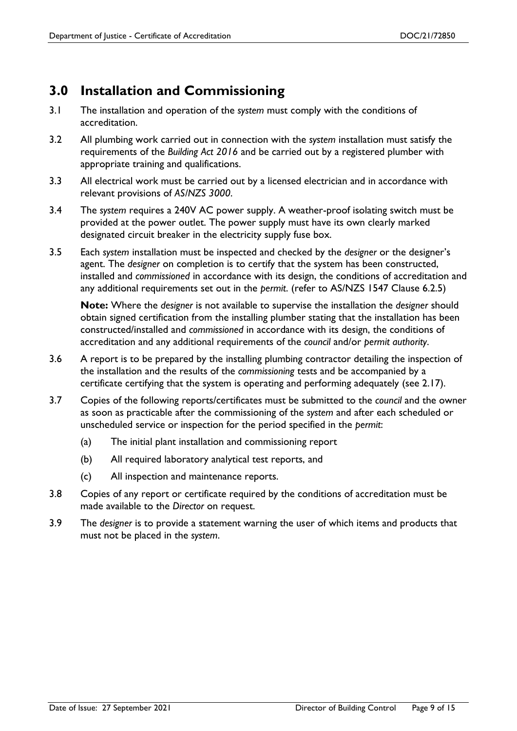### **3.0 Installation and Commissioning**

- 3.1 The installation and operation of the *system* must comply with the conditions of accreditation.
- 3.2 All plumbing work carried out in connection with the *system* installation must satisfy the requirements of the *Building Act 2016* and be carried out by a registered plumber with appropriate training and qualifications.
- 3.3 All electrical work must be carried out by a licensed electrician and in accordance with relevant provisions of *AS/NZS 3000*.
- 3.4 The *system* requires a 240V AC power supply. A weather-proof isolating switch must be provided at the power outlet. The power supply must have its own clearly marked designated circuit breaker in the electricity supply fuse box.
- 3.5 Each *system* installation must be inspected and checked by the *designer* or the designer's agent. The *designer* on completion is to certify that the system has been constructed, installed and *commissioned* in accordance with its design, the conditions of accreditation and any additional requirements set out in the *permit*. (refer to AS/NZS 1547 Clause 6.2.5)

**Note:** Where the *designer* is not available to supervise the installation the *designer* should obtain signed certification from the installing plumber stating that the installation has been constructed/installed and *commissioned* in accordance with its design, the conditions of accreditation and any additional requirements of the *council* and/or *permit authority*.

- 3.6 A report is to be prepared by the installing plumbing contractor detailing the inspection of the installation and the results of the *commissioning* tests and be accompanied by a certificate certifying that the system is operating and performing adequately (see 2.17).
- 3.7 Copies of the following reports/certificates must be submitted to the *council* and the owner as soon as practicable after the commissioning of the *system* and after each scheduled or unscheduled service or inspection for the period specified in the *permit*:
	- (a) The initial plant installation and commissioning report
	- (b) All required laboratory analytical test reports, and
	- (c) All inspection and maintenance reports.
- 3.8 Copies of any report or certificate required by the conditions of accreditation must be made available to the *Director* on request.
- 3.9 The *designer* is to provide a statement warning the user of which items and products that must not be placed in the *system*.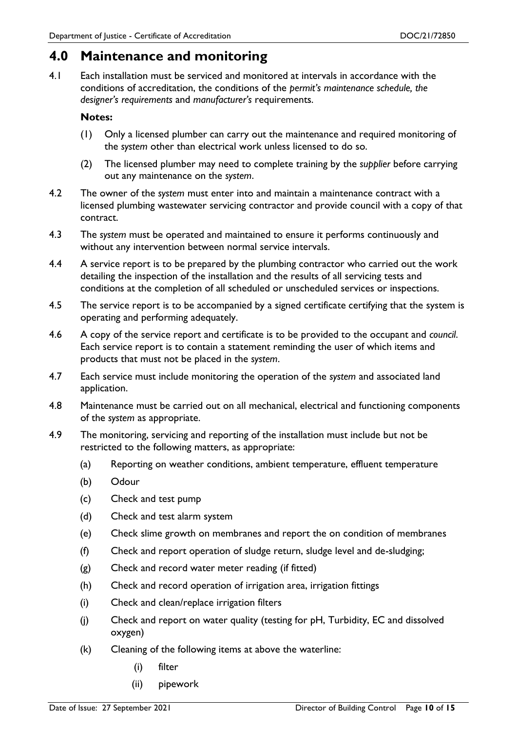#### **4.0 Maintenance and monitoring**

4.1 Each installation must be serviced and monitored at intervals in accordance with the conditions of accreditation, the conditions of the *permit's maintenance schedule, the designer's requirements* and *manufacturer's* requirements.

#### **Notes:**

- (1) Only a licensed plumber can carry out the maintenance and required monitoring of the *system* other than electrical work unless licensed to do so.
- (2) The licensed plumber may need to complete training by the *supplier* before carrying out any maintenance on the *system*.
- 4.2 The owner of the *system* must enter into and maintain a maintenance contract with a licensed plumbing wastewater servicing contractor and provide council with a copy of that contract.
- 4.3 The *system* must be operated and maintained to ensure it performs continuously and without any intervention between normal service intervals.
- 4.4 A service report is to be prepared by the plumbing contractor who carried out the work detailing the inspection of the installation and the results of all servicing tests and conditions at the completion of all scheduled or unscheduled services or inspections.
- 4.5 The service report is to be accompanied by a signed certificate certifying that the system is operating and performing adequately.
- 4.6 A copy of the service report and certificate is to be provided to the occupant and *council*. Each service report is to contain a statement reminding the user of which items and products that must not be placed in the *system*.
- 4.7 Each service must include monitoring the operation of the *system* and associated land application.
- 4.8 Maintenance must be carried out on all mechanical, electrical and functioning components of the *system* as appropriate.
- 4.9 The monitoring, servicing and reporting of the installation must include but not be restricted to the following matters, as appropriate:
	- (a) Reporting on weather conditions, ambient temperature, effluent temperature
	- (b) Odour
	- (c) Check and test pump
	- (d) Check and test alarm system
	- (e) Check slime growth on membranes and report the on condition of membranes
	- (f) Check and report operation of sludge return, sludge level and de-sludging;
	- (g) Check and record water meter reading (if fitted)
	- (h) Check and record operation of irrigation area, irrigation fittings
	- (i) Check and clean/replace irrigation filters
	- (j) Check and report on water quality (testing for pH, Turbidity, EC and dissolved oxygen)
	- (k) Cleaning of the following items at above the waterline:
		- (i) filter
		- (ii) pipework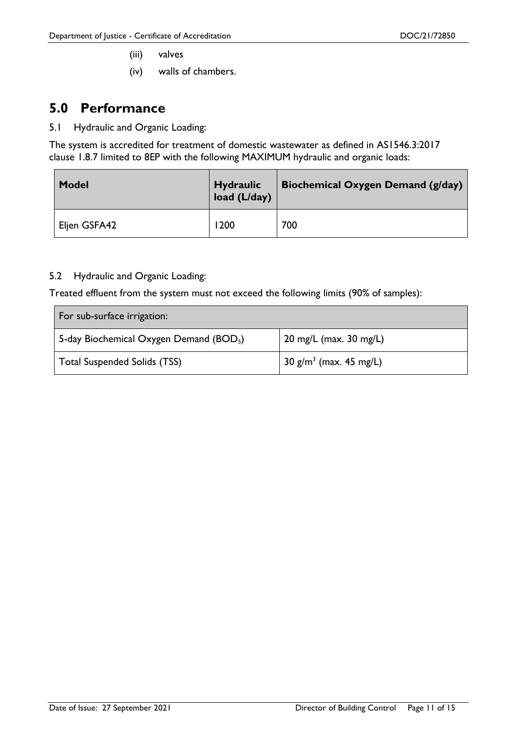- (iii) valves
- (iv) walls of chambers.

#### **5.0 Performance**

5.1 Hydraulic and Organic Loading:

The system is accredited for treatment of domestic wastewater as defined in AS1546.3:2017 clause 1.8.7 limited to 8EP with the following MAXIMUM hydraulic and organic loads:

| <b>Model</b> | <b>Hydraulic</b><br>load (L/day) | Biochemical Oxygen Demand (g/day) |
|--------------|----------------------------------|-----------------------------------|
| Eljen GSFA42 | 1200                             | 700                               |

#### 5.2 Hydraulic and Organic Loading:

Treated effluent from the system must not exceed the following limits (90% of samples):

| For sub-surface irrigation:                         |                                        |  |  |
|-----------------------------------------------------|----------------------------------------|--|--|
| 5-day Biochemical Oxygen Demand (BOD <sub>5</sub> ) | 20 mg/L (max. 30 mg/L)                 |  |  |
| Total Suspended Solids (TSS)                        | $'$ 30 g/m <sup>3</sup> (max. 45 mg/L) |  |  |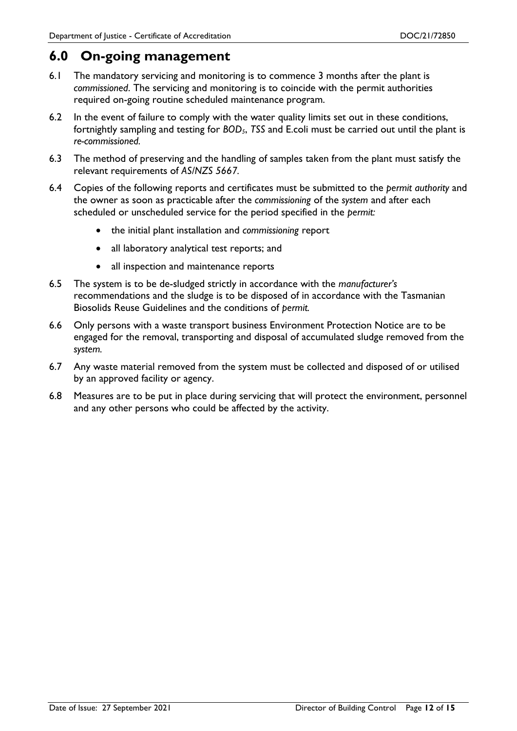#### **6.0 On-going management**

- 6.1 The mandatory servicing and monitoring is to commence 3 months after the plant is *commissioned*. The servicing and monitoring is to coincide with the permit authorities required on-going routine scheduled maintenance program.
- 6.2 In the event of failure to comply with the water quality limits set out in these conditions, fortnightly sampling and testing for *BOD5*, *TSS* and E.coli must be carried out until the plant is *re-commissioned.*
- 6.3 The method of preserving and the handling of samples taken from the plant must satisfy the relevant requirements of *AS/NZS 5667.*
- 6.4 Copies of the following reports and certificates must be submitted to the *permit authority* and the owner as soon as practicable after the *commissioning* of the *system* and after each scheduled or unscheduled service for the period specified in the *permit:*
	- the initial plant installation and *commissioning* report
	- all laboratory analytical test reports; and
	- all inspection and maintenance reports
- 6.5 The system is to be de-sludged strictly in accordance with the *manufacturer's* recommendations and the sludge is to be disposed of in accordance with the Tasmanian Biosolids Reuse Guidelines and the conditions of *permit.*
- 6.6 Only persons with a waste transport business Environment Protection Notice are to be engaged for the removal, transporting and disposal of accumulated sludge removed from the *system.*
- 6.7 Any waste material removed from the system must be collected and disposed of or utilised by an approved facility or agency.
- 6.8 Measures are to be put in place during servicing that will protect the environment, personnel and any other persons who could be affected by the activity.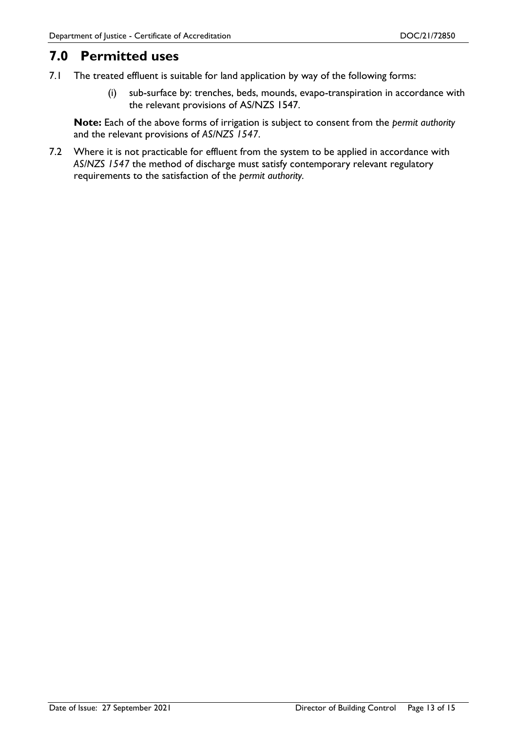### **7.0 Permitted uses**

- 7.1 The treated effluent is suitable for land application by way of the following forms:
	- (i) sub-surface by: trenches, beds, mounds, evapo-transpiration in accordance with the relevant provisions of AS/NZS 1547.

**Note:** Each of the above forms of irrigation is subject to consent from the *permit authority* and the relevant provisions of *AS/NZS 1547*.

7.2 Where it is not practicable for effluent from the system to be applied in accordance with *AS/NZS 1547* the method of discharge must satisfy contemporary relevant regulatory requirements to the satisfaction of the *permit authority.*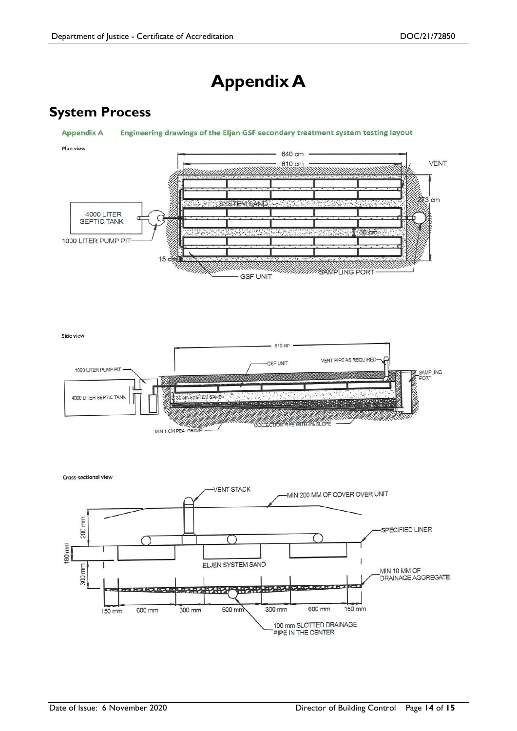### **Appendix A**

### **System Process**